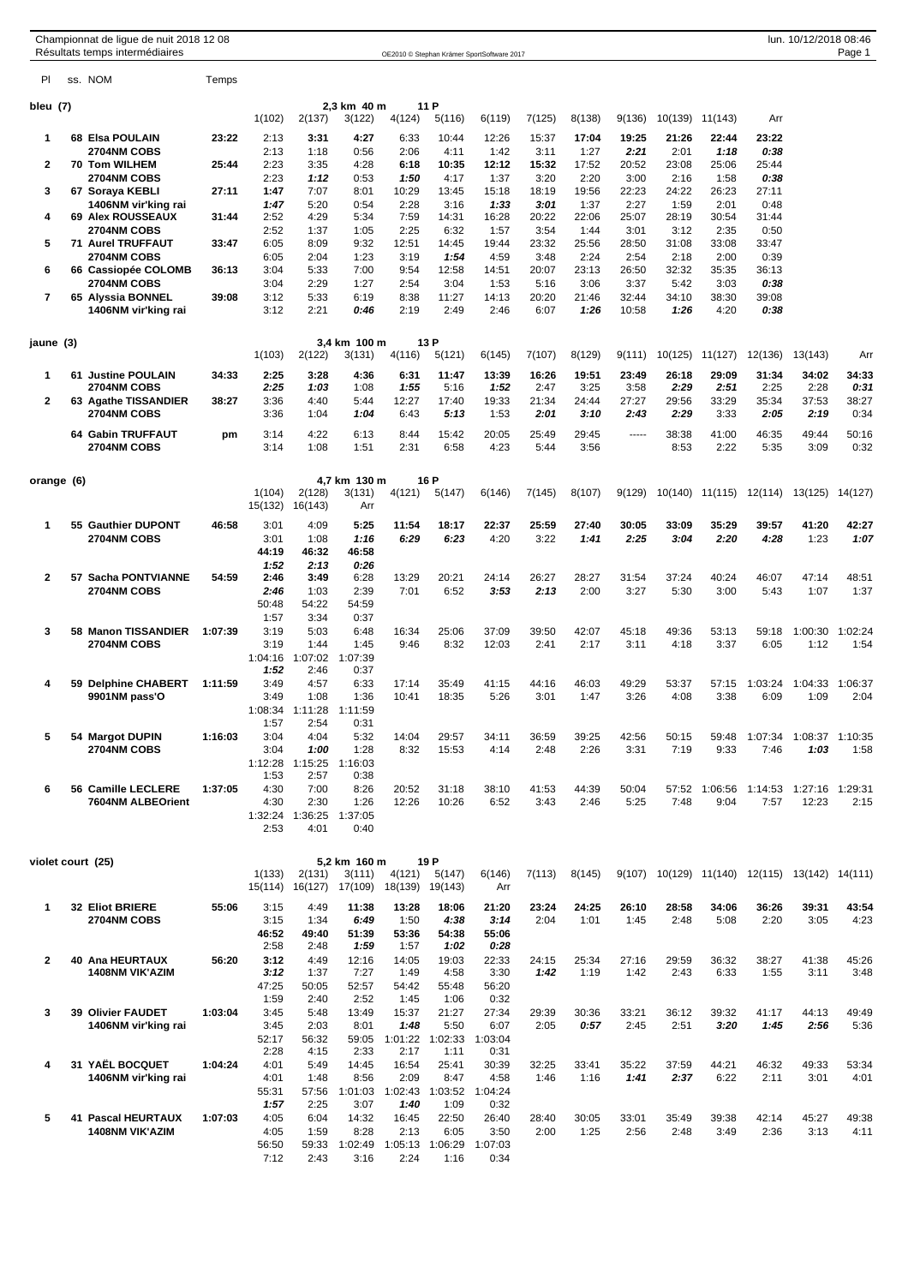|                |            |    | Championnat de ligue de nuit 2018 12 08<br>Résultats temps intermédiaires |         |                   |                   |                                       |                   |                   | OE2010 © Stephan Krämer SportSoftware 2017 |               |               |               |               |                 |                 | lun. 10/12/2018 08:46                          | Page 1          |
|----------------|------------|----|---------------------------------------------------------------------------|---------|-------------------|-------------------|---------------------------------------|-------------------|-------------------|--------------------------------------------|---------------|---------------|---------------|---------------|-----------------|-----------------|------------------------------------------------|-----------------|
| PI             |            |    | ss. NOM                                                                   | Temps   |                   |                   |                                       |                   |                   |                                            |               |               |               |               |                 |                 |                                                |                 |
| bleu (7)       |            |    |                                                                           |         | 1(102)            | 2(137)            | 2,3 km 40 m<br>3(122)                 | 4(124)            | 11 P<br>5(116)    | 6(119)                                     | 7(125)        | 8(138)        | 9(136)        | 10(139)       | 11(143)         | Arr             |                                                |                 |
| 1              |            |    | 68 Elsa POULAIN                                                           | 23:22   | 2:13              | 3:31              | 4:27                                  | 6:33              | 10:44             | 12:26                                      | 15:37         | 17:04         | 19:25         | 21:26         | 22:44           | 23:22           |                                                |                 |
| 2              |            |    | 2704NM COBS<br>70 Tom WILHEM                                              | 25:44   | 2:13<br>2:23      | 1:18<br>3:35      | 0:56<br>4:28                          | 2:06<br>6:18      | 4:11<br>10:35     | 1:42<br>12:12                              | 3:11<br>15:32 | 1:27<br>17:52 | 2:21<br>20:52 | 2:01<br>23:08 | 1:18<br>25:06   | 0:38<br>25:44   |                                                |                 |
| 3              |            |    | 2704NM COBS<br>67 Soraya KEBLI                                            | 27:11   | 2:23<br>1:47      | 1:12<br>7:07      | 0:53<br>8:01                          | 1:50<br>10:29     | 4:17<br>13:45     | 1:37<br>15:18                              | 3:20<br>18:19 | 2:20<br>19:56 | 3:00<br>22:23 | 2:16<br>24:22 | 1:58<br>26:23   | 0:38<br>27:11   |                                                |                 |
|                |            |    | 1406NM vir'king rai                                                       |         | 1:47              | 5:20              | 0:54                                  | 2:28              | 3:16              | 1:33                                       | 3:01          | 1:37          | 2:27          | 1:59          | 2:01            | 0:48            |                                                |                 |
| 4              |            |    | <b>69 Alex ROUSSEAUX</b><br>2704NM COBS                                   | 31:44   | 2:52<br>2:52      | 4:29<br>1:37      | 5:34<br>1:05                          | 7:59<br>2:25      | 14:31<br>6:32     | 16:28<br>1:57                              | 20:22<br>3:54 | 22:06<br>1:44 | 25:07<br>3:01 | 28:19<br>3:12 | 30:54<br>2:35   | 31:44<br>0:50   |                                                |                 |
| 5              |            |    | <b>71 Aurel TRUFFAUT</b><br>2704NM COBS                                   | 33:47   | 6:05              | 8:09              | 9:32                                  | 12:51             | 14:45<br>1:54     | 19:44                                      | 23:32         | 25:56         | 28:50         | 31:08         | 33:08           | 33:47           |                                                |                 |
| 6              |            |    | 66 Cassiopée COLOMB                                                       | 36:13   | 6:05<br>3:04      | 2:04<br>5:33      | 1:23<br>7:00                          | 3:19<br>9:54      | 12:58             | 4:59<br>14:51                              | 3:48<br>20:07 | 2:24<br>23:13 | 2:54<br>26:50 | 2:18<br>32:32 | 2:00<br>35:35   | 0:39<br>36:13   |                                                |                 |
| 7              |            |    | 2704NM COBS<br>65 Alyssia BONNEL                                          | 39:08   | 3:04<br>3:12      | 2:29<br>5:33      | 1:27<br>6:19                          | 2:54<br>8:38      | 3:04<br>11:27     | 1:53<br>14:13                              | 5:16<br>20:20 | 3:06<br>21:46 | 3:37<br>32:44 | 5:42<br>34:10 | 3:03<br>38:30   | 0:38<br>39:08   |                                                |                 |
|                |            |    | 1406NM vir'king rai                                                       |         | 3:12              | 2:21              | 0:46                                  | 2:19              | 2:49              | 2:46                                       | 6:07          | 1:26          | 10:58         | 1:26          | 4:20            | 0:38            |                                                |                 |
|                | jaune (3)  |    |                                                                           |         | 1(103)            | 2(122)            | 3,4 km 100 m<br>3(131)                | 4(116)            | 13 P<br>5(121)    | 6(145)                                     | 7(107)        | 8(129)        | 9(111)        | 10(125)       | 11(127)         | 12(136)         | 13(143)                                        | Arr             |
| 1              |            |    | 61 Justine POULAIN                                                        | 34:33   | 2:25              | 3:28              | 4:36                                  | 6:31              | 11:47             | 13:39                                      | 16:26         | 19:51         | 23:49         | 26:18         | 29:09           | 31:34           | 34:02                                          | 34:33           |
| 2              |            |    | 2704NM COBS<br>63 Agathe TISSANDIER                                       | 38:27   | 2:25<br>3:36      | 1:03<br>4:40      | 1:08<br>5:44                          | 1:55<br>12:27     | 5:16<br>17:40     | 1:52<br>19:33                              | 2:47<br>21:34 | 3:25<br>24:44 | 3:58<br>27:27 | 2:29<br>29:56 | 2:51<br>33:29   | 2:25<br>35:34   | 2:28<br>37:53                                  | 0:31<br>38:27   |
|                |            |    | 2704NM COBS                                                               |         | 3:36              | 1:04              | 1:04                                  | 6:43              | 5:13              | 1:53                                       | 2:01          | 3:10          | 2:43          | 2:29          | 3:33            | 2:05            | 2:19                                           | 0:34            |
|                |            |    | 64 Gabin TRUFFAUT<br>2704NM COBS                                          | pm      | 3:14<br>3:14      | 4:22<br>1:08      | 6:13<br>1:51                          | 8:44<br>2:31      | 15:42<br>6:58     | 20:05<br>4:23                              | 25:49<br>5:44 | 29:45<br>3:56 | -----         | 38:38<br>8:53 | 41:00<br>2:22   | 46:35<br>5:35   | 49:44<br>3:09                                  | 50:16<br>0:32   |
|                | orange (6) |    |                                                                           |         |                   |                   | 4,7 km 130 m                          |                   | 16 P              |                                            |               |               |               |               |                 |                 |                                                |                 |
|                |            |    |                                                                           |         | 1(104)<br>15(132) | 2(128)<br>16(143) | 3(131)<br>Arr                         | 4(121)            | 5(147)            | 6(146)                                     | 7(145)        | 8(107)        | 9(129)        |               | 10(140) 11(115) | 12(114)         | 13(125)                                        | 14(127)         |
| 1              |            |    | 55 Gauthier DUPONT                                                        | 46:58   | 3:01              | 4:09              | 5:25                                  | 11:54             | 18:17             | 22:37                                      | 25:59         | 27:40         | 30:05         | 33:09         | 35:29           | 39:57           | 41:20                                          | 42:27           |
|                |            |    | 2704NM COBS                                                               |         | 3:01<br>44:19     | 1:08<br>46:32     | 1:16<br>46:58                         | 6:29              | 6:23              | 4:20                                       | 3:22          | 1:41          | 2:25          | 3:04          | 2:20            | 4:28            | 1:23                                           | 1:07            |
| $\overline{2}$ |            |    |                                                                           |         | 1:52              | 2:13              | 0:26                                  |                   |                   |                                            |               |               |               |               |                 |                 |                                                |                 |
|                |            |    | 57 Sacha PONTVIANNE<br>2704NM COBS                                        | 54:59   | 2:46<br>2:46      | 3:49<br>1:03      | 6:28<br>2:39                          | 13:29<br>7:01     | 20:21<br>6:52     | 24:14<br>3:53                              | 26:27<br>2:13 | 28:27<br>2:00 | 31:54<br>3:27 | 37:24<br>5:30 | 40:24<br>3:00   | 46:07<br>5:43   | 47:14<br>1:07                                  | 48:51<br>1:37   |
|                |            |    |                                                                           |         | 50:48<br>1:57     | 54:22<br>3:34     | 54:59<br>0:37                         |                   |                   |                                            |               |               |               |               |                 |                 |                                                |                 |
| 3              |            |    | 58 Manon TISSANDIER                                                       | 1:07:39 | 3:19              | 5:03              | 6:48                                  | 16:34             | 25:06             | 37:09                                      | 39:50         | 42:07         | 45:18         | 49:36         | 53:13           | 59:18           | 1:00:30                                        | 1:02:24         |
|                |            |    | 2704NM COBS                                                               |         | 3:19<br>1:04:16   | 1:44<br>1:07:02   | 1:45<br>1:07:39                       | 9:46              | 8:32              | 12:03                                      | 2:41          | 2:17          | 3:11          | 4:18          | 3:37            | 6:05            | 1:12                                           | 1:54            |
|                |            |    |                                                                           |         | 1:52              | 2:46              | 0:37                                  |                   |                   |                                            |               |               |               |               |                 |                 |                                                |                 |
| 4              |            | 59 | <b>Delphine CHABERT</b><br>9901NM pass'O                                  | 1:11:59 | 3:49<br>3:49      | 4:57<br>1:08      | 6:33<br>1:36                          | 17:14<br>10:41    | 35:49<br>18:35    | 41:15<br>5:26                              | 44:16<br>3:01 | 46:03<br>1:47 | 49:29<br>3:26 | 53:37<br>4:08 | 57:15<br>3:38   | 1:03:24<br>6:09 | 1:04:33<br>1:09                                | 1:06:37<br>2:04 |
|                |            |    |                                                                           |         |                   | 1:08:34 1:11:28   | 1:11:59                               |                   |                   |                                            |               |               |               |               |                 |                 |                                                |                 |
| 5              |            |    | 54 Margot DUPIN                                                           | 1:16:03 | 1:5/<br>3:04      | 2:54<br>4:04      | 0:31<br>5:32                          | 14:04             | 29:57             | 34:11                                      | 36:59         | 39:25         | 42:56         | 50:15         | 59:48           | 1:07:34         | 1:08:37 1:10:35                                |                 |
|                |            |    | 2704NM COBS                                                               |         | 3:04              | 1:00              | 1:28                                  | 8:32              | 15:53             | 4:14                                       | 2:48          | 2:26          | 3:31          | 7:19          | 9:33            | 7:46            | 1:03                                           | 1:58            |
|                |            |    |                                                                           |         | 1:12:28<br>1:53   | 1:15:25<br>2:57   | 1:16:03<br>0:38                       |                   |                   |                                            |               |               |               |               |                 |                 |                                                |                 |
| 6              |            |    | 56 Camille LECLERE<br>7604NM ALBEOrient                                   | 1:37:05 | 4:30<br>4:30      | 7:00<br>2:30      | 8:26<br>1:26                          | 20:52<br>12:26    | 31:18<br>10:26    | 38:10<br>6:52                              | 41:53<br>3:43 | 44:39<br>2:46 | 50:04<br>5:25 | 57:52<br>7:48 | 1:06:56<br>9:04 | 1:14:53<br>7:57 | 1:27:16 1:29:31<br>12:23                       | 2:15            |
|                |            |    |                                                                           |         | 1:32:24           | 1:36:25           | 1:37:05                               |                   |                   |                                            |               |               |               |               |                 |                 |                                                |                 |
|                |            |    |                                                                           |         | 2:53              | 4:01              | 0:40                                  |                   |                   |                                            |               |               |               |               |                 |                 |                                                |                 |
|                |            |    | violet court (25)                                                         |         |                   |                   | 5,2 km 160 m                          |                   | 19 P              |                                            |               |               |               |               |                 |                 |                                                |                 |
|                |            |    |                                                                           |         | 1(133)<br>15(114) | 2(131)<br>16(127) | 3(111)<br>17(109)                     | 4(121)<br>18(139) | 5(147)<br>19(143) | 6(146)<br>Arr                              | 7(113)        | 8(145)        |               |               |                 |                 | 9(107) 10(129) 11(140) 12(115) 13(142) 14(111) |                 |
| $\mathbf 1$    |            |    | 32 Eliot BRIERE                                                           | 55:06   | 3:15              | 4:49              | 11:38                                 | 13:28             | 18:06             | 21:20                                      | 23:24         | 24:25         | 26:10         | 28:58         | 34:06           | 36:26           | 39:31                                          | 43:54           |
|                |            |    | 2704NM COBS                                                               |         | 3:15<br>46:52     | 1:34<br>49:40     | 6:49<br>51:39                         | 1:50<br>53:36     | 4:38<br>54:38     | 3:14<br>55:06                              | 2:04          | 1:01          | 1:45          | 2:48          | 5:08            | 2:20            | 3:05                                           | 4:23            |
|                |            |    |                                                                           |         | 2:58              | 2:48              | 1:59                                  | 1:57              | 1:02              | 0:28                                       |               |               |               |               |                 |                 |                                                |                 |
| $\overline{2}$ |            |    | 40 Ana HEURTAUX<br><b>1408NM VIK'AZIM</b>                                 | 56:20   | 3:12<br>3:12      | 4:49<br>1:37      | 12:16<br>7:27                         | 14:05<br>1:49     | 19:03<br>4:58     | 22:33<br>3:30                              | 24:15<br>1:42 | 25:34<br>1:19 | 27:16<br>1:42 | 29:59<br>2:43 | 36:32<br>6:33   | 38:27<br>1:55   | 41:38<br>3:11                                  | 45:26<br>3:48   |
|                |            |    |                                                                           |         | 47:25             | 50:05             | 52:57                                 | 54:42             | 55:48             | 56:20                                      |               |               |               |               |                 |                 |                                                |                 |
| 3              |            |    | 39 Olivier FAUDET                                                         | 1:03:04 | 1:59<br>3:45      | 2:40<br>5:48      | 2:52<br>13:49                         | 1:45<br>15:37     | 1:06<br>21:27     | 0:32<br>27:34                              | 29:39         | 30:36         | 33:21         | 36:12         | 39:32           | 41:17           | 44:13                                          | 49:49           |
|                |            |    | 1406NM vir'king rai                                                       |         | 3:45              | 2:03              | 8:01                                  | 1:48              | 5:50              | 6:07                                       | 2:05          | 0:57          | 2:45          | 2:51          | 3:20            | 1:45            | 2:56                                           | 5:36            |
|                |            |    |                                                                           |         | 52:17<br>2:28     | 56:32<br>4:15     | 59:05<br>2:33                         | 1:01:22<br>2:17   | 1:02:33<br>1:11   | 1:03:04<br>0:31                            |               |               |               |               |                 |                 |                                                |                 |
| 4              |            |    | 31 YAËL BOCQUET<br>1406NM vir'king rai                                    | 1:04:24 | 4:01<br>4:01      | 5:49<br>1:48      | 14:45<br>8:56                         | 16:54<br>2:09     | 25:41<br>8:47     | 30:39<br>4:58                              | 32:25<br>1:46 | 33:41<br>1:16 | 35:22<br>1:41 | 37:59<br>2:37 | 44:21<br>6:22   | 46:32<br>2:11   | 49:33<br>3:01                                  | 53:34<br>4:01   |
|                |            |    |                                                                           |         | 55:31             | 57:56             | 1:01:03                               | 1:02:43           | 1:03:52           | 1:04:24                                    |               |               |               |               |                 |                 |                                                |                 |
| 5              |            |    | <b>41 Pascal HEURTAUX</b>                                                 | 1:07:03 | 1:57<br>4:05      | 2:25<br>6:04      | 3:07<br>14:32                         | 1:40<br>16:45     | 1:09<br>22:50     | 0:32<br>26:40                              | 28:40         | 30:05         | 33:01         | 35:49         | 39:38           | 42:14           | 45:27                                          | 49:38           |
|                |            |    | 1408NM VIK'AZIM                                                           |         | 4:05              | 1:59              | 8:28                                  | 2:13              | 6:05              | 3:50                                       | 2:00          | 1:25          | 2:56          | 2:48          | 3:49            | 2:36            | 3:13                                           | 4:11            |
|                |            |    |                                                                           |         | 56:50             |                   | 59:33 1:02:49 1:05:13 1:06:29 1:07:03 |                   |                   |                                            |               |               |               |               |                 |                 |                                                |                 |

7:12 2:43 3:16 2:24 1:16 0:34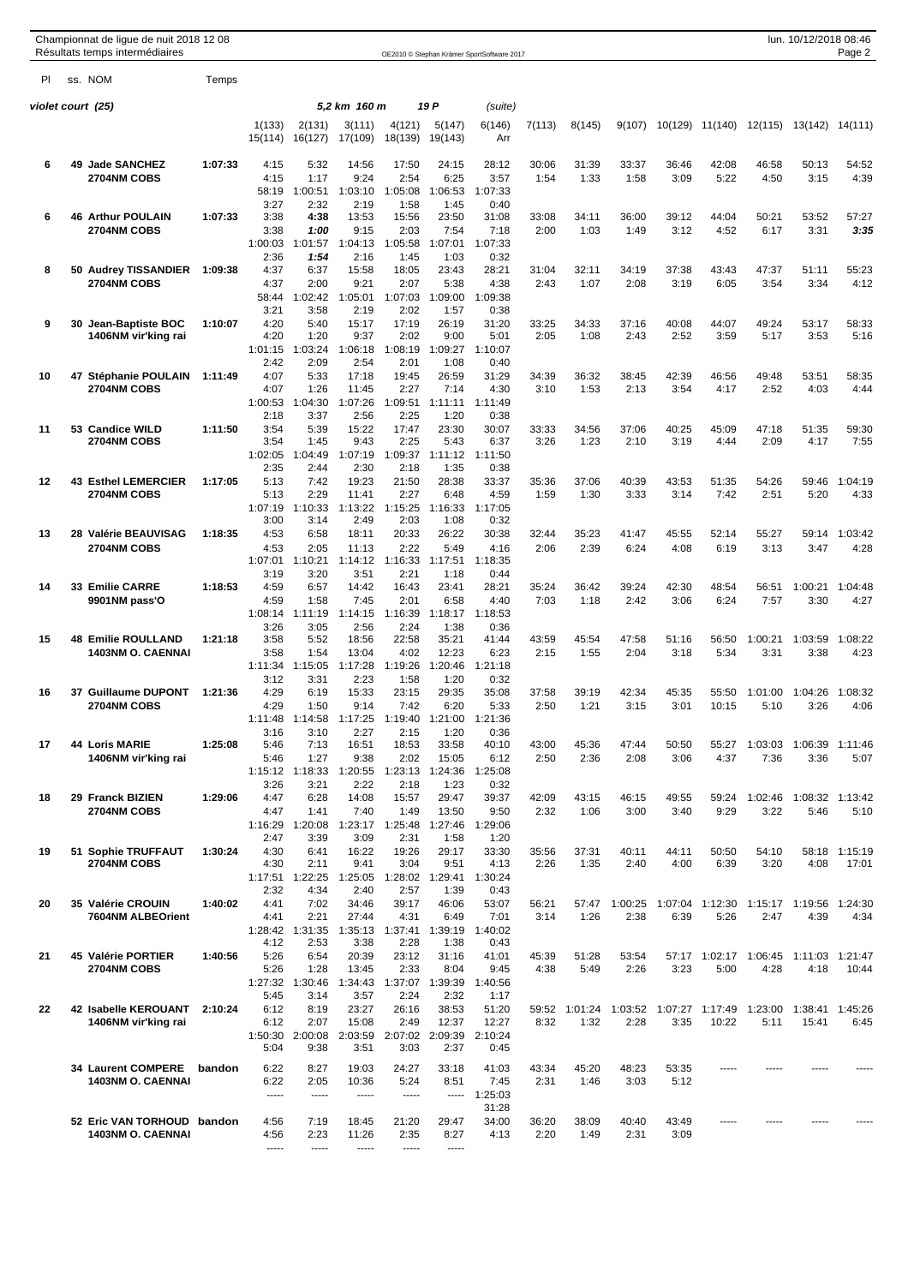|                    |  | Championnat de ligue de nuit 2018 12 08<br>Résultats temps intermédiaires |         | lun. 10/12/2018 08:46<br>OE2010 © Stephan Krämer SportSoftware 2017 |                                 |                   |                   |                   |                 |               |                                               |               |               |                 |                 |                  | Page 2                 |
|--------------------|--|---------------------------------------------------------------------------|---------|---------------------------------------------------------------------|---------------------------------|-------------------|-------------------|-------------------|-----------------|---------------|-----------------------------------------------|---------------|---------------|-----------------|-----------------|------------------|------------------------|
| PL                 |  | ss. NOM                                                                   | Temps   |                                                                     |                                 |                   |                   |                   |                 |               |                                               |               |               |                 |                 |                  |                        |
| violet court  (25) |  |                                                                           |         |                                                                     | 5,2 km 160 m<br>19 P<br>(suite) |                   |                   |                   |                 |               |                                               |               |               |                 |                 |                  |                        |
|                    |  |                                                                           |         | 1(133)<br>15(114)                                                   | 2(131)<br>16(127)               | 3(111)<br>17(109) | 4(121)<br>18(139) | 5(147)<br>19(143) | 6(146)<br>Arr   | 7(113)        | 8(145)                                        | 9(107)        | 10(129)       | 11(140)         | 12(115)         | 13(142) 14(111)  |                        |
| 6                  |  | 49 Jade SANCHEZ                                                           | 1:07:33 | 4:15                                                                | 5:32                            | 14:56             | 17:50             | 24:15             | 28:12           | 30:06         | 31:39                                         | 33:37         | 36:46         | 42:08           | 46:58           | 50:13            | 54:52                  |
|                    |  | 2704NM COBS                                                               |         | 4:15                                                                | 1:17                            | 9:24              | 2:54              | 6:25              | 3:57            | 1:54          | 1:33                                          | 1:58          | 3:09          | 5:22            | 4:50            | 3:15             | 4:39                   |
|                    |  |                                                                           |         | 58:19<br>3:27                                                       | 1:00:51<br>2:32                 | 1:03:10<br>2:19   | 1:05:08<br>1:58   | 1:06:53<br>1:45   | 1:07:33<br>0:40 |               |                                               |               |               |                 |                 |                  |                        |
| 6                  |  | <b>46 Arthur POULAIN</b>                                                  | 1:07:33 | 3:38                                                                | 4:38                            | 13:53             | 15:56             | 23:50             | 31:08           | 33:08         | 34:11                                         | 36:00         | 39:12         | 44:04           | 50:21           | 53:52            | 57:27                  |
|                    |  | 2704NM COBS                                                               |         | 3:38<br>1:00:03                                                     | 1:00<br>1:01:57                 | 9:15<br>1:04:13   | 2:03<br>1:05:58   | 7:54<br>1:07:01   | 7:18<br>1:07:33 | 2:00          | 1:03                                          | 1:49          | 3:12          | 4:52            | 6:17            | 3:31             | 3:35                   |
|                    |  |                                                                           |         | 2:36                                                                | 1:54                            | 2:16              | 1:45              | 1:03              | 0:32            |               |                                               |               |               |                 |                 |                  |                        |
| 8                  |  | 50 Audrey TISSANDIER<br><b>2704NM COBS</b>                                | 1:09:38 | 4:37<br>4:37                                                        | 6:37<br>2:00                    | 15:58<br>9:21     | 18:05<br>2:07     | 23:43<br>5:38     | 28:21<br>4:38   | 31:04<br>2:43 | 32:11<br>1:07                                 | 34:19<br>2:08 | 37:38<br>3:19 | 43:43<br>6:05   | 47:37<br>3:54   | 51:11<br>3:34    | 55:23<br>4:12          |
|                    |  |                                                                           |         | 58:44                                                               | 1:02:42                         | 1:05:01           | 1:07:03           | 1:09:00           | 1:09:38         |               |                                               |               |               |                 |                 |                  |                        |
| 9                  |  | 30 Jean-Baptiste BOC                                                      | 1:10:07 | 3:21<br>4:20                                                        | 3:58<br>5:40                    | 2:19<br>15:17     | 2:02<br>17:19     | 1:57<br>26:19     | 0:38<br>31:20   | 33:25         | 34:33                                         | 37:16         | 40:08         | 44:07           | 49:24           | 53:17            | 58:33                  |
|                    |  | 1406NM vir'king rai                                                       |         | 4:20                                                                | 1:20                            | 9:37              | 2:02              | 9:00              | 5:01            | 2:05          | 1:08                                          | 2:43          | 2:52          | 3:59            | 5:17            | 3:53             | 5:16                   |
|                    |  |                                                                           |         | 1:01:15<br>2:42                                                     | 1:03:24<br>2:09                 | 1:06:18<br>2:54   | 1:08:19<br>2:01   | 1:09:27<br>1:08   | 1:10:07<br>0:40 |               |                                               |               |               |                 |                 |                  |                        |
| 10                 |  | 47 Stéphanie POULAIN                                                      | 1:11:49 | 4:07                                                                | 5:33                            | 17:18             | 19:45             | 26:59             | 31:29           | 34:39         | 36:32                                         | 38:45         | 42:39         | 46:56           | 49:48           | 53:51            | 58:35                  |
|                    |  | 2704NM COBS                                                               |         | 4:07                                                                | 1:26                            | 11:45             | 2:27              | 7:14              | 4:30            | 3:10          | 1:53                                          | 2:13          | 3:54          | 4:17            | 2:52            | 4:03             | 4:44                   |
|                    |  |                                                                           |         | 1:00:53<br>2:18                                                     | 1:04:30<br>3:37                 | 1:07:26<br>2:56   | 1:09:51<br>2:25   | 1:11:11<br>1:20   | 1:11:49<br>0:38 |               |                                               |               |               |                 |                 |                  |                        |
| 11                 |  | 53 Candice WILD                                                           | 1:11:50 | 3:54                                                                | 5:39                            | 15:22             | 17:47             | 23:30             | 30:07           | 33:33         | 34:56                                         | 37:06         | 40:25         | 45:09           | 47:18           | 51:35            | 59:30                  |
|                    |  | 2704NM COBS                                                               |         | 3:54<br>1:02:05                                                     | 1:45<br>:04:49                  | 9:43<br>:07:19    | 2:25<br>1:09:37   | 5:43<br>1:11:12   | 6:37<br>1:11:50 | 3:26          | 1:23                                          | 2:10          | 3:19          | 4:44            | 2:09            | 4:17             | 7:55                   |
|                    |  |                                                                           |         | 2:35                                                                | 2:44                            | 2:30              | 2:18              | 1:35              | 0:38            |               |                                               |               |               |                 |                 |                  |                        |
| 12                 |  | <b>43 Esthel LEMERCIER</b><br><b>2704NM COBS</b>                          | 1:17:05 | 5:13<br>5:13                                                        | 7:42<br>2:29                    | 19:23<br>11:41    | 21:50<br>2:27     | 28:38<br>6:48     | 33:37<br>4:59   | 35:36<br>1:59 | 37:06<br>1:30                                 | 40:39<br>3:33 | 43:53<br>3:14 | 51:35<br>7:42   | 54:26<br>2:51   | 59:46<br>5:20    | 1:04:19<br>4:33        |
|                    |  |                                                                           |         | 1:07:19                                                             | 1:10:33                         | 1:13:22           | 1:15:25           | 1:16:33           | 1:17:05         |               |                                               |               |               |                 |                 |                  |                        |
| 13                 |  | 28 Valérie BEAUVISAG                                                      | 1:18:35 | 3:00<br>4:53                                                        | 3:14<br>6:58                    | 2:49<br>18:11     | 2:03<br>20:33     | 1:08<br>26:22     | 0:32<br>30:38   | 32:44         | 35:23                                         | 41:47         | 45:55         | 52:14           | 55:27           | 59:14            | 1:03:42                |
|                    |  | 2704NM COBS                                                               |         | 4:53                                                                | 2:05                            | 11:13             | 2:22              | 5:49              | 4:16            | 2:06          | 2:39                                          | 6:24          | 4:08          | 6:19            | 3:13            | 3:47             | 4:28                   |
|                    |  |                                                                           |         | 1:07:01<br>3:19                                                     | 1:10:21<br>3:20                 | 1:14:12<br>3:51   | 1:16:33<br>2:21   | 1:17:51<br>1:18   | 1:18:35<br>0:44 |               |                                               |               |               |                 |                 |                  |                        |
| 14                 |  | 33 Emilie CARRE                                                           | 1:18:53 | 4:59                                                                | 6:57                            | 14:42             | 16:43             | 23:41             | 28:21           | 35:24         | 36:42                                         | 39:24         | 42:30         | 48:54           | 56:51           | 1:00:21          | 1:04:48                |
|                    |  | 9901NM pass'O                                                             |         | 4:59<br>1:08:14                                                     | 1:58<br>1:11:19                 | 7:45<br>1:14:15   | 2:01<br>1:16:39   | 6:58<br>1:18:17   | 4:40<br>1:18:53 | 7:03          | 1:18                                          | 2:42          | 3:06          | 6:24            | 7:57            | 3:30             | 4:27                   |
|                    |  |                                                                           |         | 3:26                                                                | 3:05                            | 2:56              | 2:24              | 1:38              | 0:36            |               |                                               |               |               |                 |                 |                  |                        |
| 15                 |  | <b>48 Emilie ROULLAND</b>                                                 | 1:21:18 | 3:58                                                                | 5:52                            | 18:56             | 22:58             | 35:21             | 41:44           | 43:59         | 45:54                                         | 47:58         | 51:16         | 56:50           | 1:00:21         | 1:03:59          | 1:08:22                |
|                    |  | <b>1403NM O. CAENNAI</b>                                                  |         | 3:58<br>1:11:34                                                     | 1:54<br>1:15:05                 | 13:04<br>1:17:28  | 4:02<br>1:19:26   | 12:23<br>1:20:46  | 6:23<br>1:21:18 | 2:15          | 1:55                                          | 2:04          | 3:18          | 5:34            | 3:31            | 3:38             | 4:23                   |
|                    |  |                                                                           |         | 3:12                                                                | 3:31                            | 2:23              | 1:58              | 1:20              | 0:32            |               |                                               |               |               |                 |                 |                  |                        |
| 16                 |  | 37 Guillaume DUPONT<br><b>2704NM COBS</b>                                 | 1:21:36 | 4:29<br>4:29                                                        | 6:19<br>1:50                    | 15:33<br>9:14     | 23:15<br>7:42     | 29:35<br>6:20     | 35:08<br>5:33   | 37:58<br>2:50 | 39:19<br>1:21                                 | 42:34<br>3:15 | 45:35<br>3:01 | 55:50<br>10:15  | 1:01:00<br>5:10 | 1:04:26<br>3:26  | 1:08:32<br>4:06        |
|                    |  |                                                                           |         |                                                                     | 1:11:48 1:14:58                 | 1:17:25           | 1:19:40           | 1:21:00           | 1:21:36         |               |                                               |               |               |                 |                 |                  |                        |
| 17                 |  | <b>44 Loris MARIE</b>                                                     | 1:25:08 | 3:16<br>5:46                                                        | 3:10<br>7:13                    | 2:27<br>16:51     | 2:15<br>18:53     | 1:20<br>33:58     | 0:36<br>40:10   | 43:00         | 45:36                                         | 47:44         | 50:50         | 55:27           | 1:03:03         | 1:06:39          | 1:11:46                |
|                    |  | 1406NM vir'king rai                                                       |         | 5:46                                                                | 1:27                            | 9:38              | 2:02              | 15:05             | 6:12            | 2:50          | 2:36                                          | 2:08          | 3:06          | 4:37            | 7:36            | 3:36             | 5:07                   |
|                    |  |                                                                           |         | 3:26                                                                | 1:15:12 1:18:33<br>3:21         | 1:20:55<br>2:22   | 1:23:13<br>2:18   | 1:24:36<br>1:23   | 1:25:08<br>0:32 |               |                                               |               |               |                 |                 |                  |                        |
| 18                 |  | 29 Franck BIZIEN                                                          | 1:29:06 | 4:47                                                                | 6:28                            | 14:08             | 15:57             | 29:47             | 39:37           | 42:09         | 43:15                                         | 46:15         | 49:55         | 59:24           | 1:02:46         | 1:08:32 1:13:42  |                        |
|                    |  | 2704NM COBS                                                               |         | 4:47<br>1:16:29                                                     | 1:41<br>1:20:08                 | 7:40<br>1:23:17   | 1:49<br>1:25:48   | 13:50<br>1:27:46  | 9:50<br>1:29:06 | 2:32          | 1:06                                          | 3:00          | 3:40          | 9:29            | 3:22            | 5:46             | 5:10                   |
|                    |  |                                                                           |         | 2:47                                                                | 3:39                            | 3:09              | 2:31              | 1:58              | 1:20            |               |                                               |               |               |                 |                 |                  |                        |
| 19                 |  | 51 Sophie TRUFFAUT<br>2704NM COBS                                         | 1:30:24 | 4:30<br>4:30                                                        | 6:41<br>2:11                    | 16:22<br>9:41     | 19:26<br>3:04     | 29:17<br>9:51     | 33:30<br>4:13   | 35:56<br>2:26 | 37:31<br>1:35                                 | 40:11<br>2:40 | 44:11<br>4:00 | 50:50<br>6:39   | 54:10<br>3:20   | 4:08             | 58:18 1:15:19<br>17:01 |
|                    |  |                                                                           |         | 1:17:51                                                             | 1:22:25                         | 1:25:05           | 1:28:02           | 1:29:41           | 1:30:24         |               |                                               |               |               |                 |                 |                  |                        |
| 20                 |  | 35 Valérie CROUIN                                                         | 1:40:02 | 2:32<br>4:41                                                        | 4:34<br>7:02                    | 2:40<br>34:46     | 2:57<br>39:17     | 1:39<br>46:06     | 0:43<br>53:07   | 56:21         | 57:47                                         | 1:00:25       |               | 1:07:04 1:12:30 | 1:15:17         | 1:19:56          | 1:24:30                |
|                    |  | 7604NM ALBEOrient                                                         |         | 4:41                                                                | 2:21                            | 27:44             | 4:31              | 6:49              | 7:01            | 3:14          | 1:26                                          | 2:38          | 6:39          | 5:26            | 2:47            | 4:39             | 4:34                   |
|                    |  |                                                                           |         | 1:28:42<br>4:12                                                     | 1:31:35<br>2:53                 | 1:35:13<br>3:38   | 1:37:41<br>2:28   | 1:39:19<br>1:38   | 1:40:02<br>0:43 |               |                                               |               |               |                 |                 |                  |                        |
| 21                 |  | 45 Valérie PORTIER                                                        | 1:40:56 | 5:26                                                                | 6:54                            | 20:39             | 23:12             | 31:16             | 41:01           | 45:39         | 51:28                                         | 53:54         |               | 57:17 1:02:17   | 1:06:45         | 1:11:03          | 1:21:47                |
|                    |  | 2704NM COBS                                                               |         | 5:26<br>1:27:32                                                     | 1:28<br>1:30:46                 | 13:45<br>1:34:43  | 2:33<br>1:37:07   | 8:04<br>1:39:39   | 9:45<br>1:40:56 | 4:38          | 5:49                                          | 2:26          | 3:23          | 5:00            | 4:28            | 4:18             | 10:44                  |
|                    |  |                                                                           |         | 5:45                                                                | 3:14                            | 3:57              | 2:24              | 2:32              | 1:17            |               |                                               |               |               |                 |                 |                  |                        |
| 22                 |  | 42 Isabelle KEROUANT<br>1406NM vir'king rai                               | 2:10:24 | 6:12<br>6:12                                                        | 8:19<br>2:07                    | 23:27<br>15:08    | 26:16<br>2:49     | 38:53<br>12:37    | 51:20<br>12:27  | 8:32          | 59:52 1:01:24 1:03:52 1:07:27 1:17:49<br>1:32 | 2:28          | 3:35          | 10:22           | 1:23:00<br>5:11 | 1:38:41<br>15:41 | 1:45:26<br>6:45        |
|                    |  |                                                                           |         |                                                                     | 1:50:30 2:00:08                 | 2:03:59           | 2:07:02           | 2:09:39           | 2:10:24         |               |                                               |               |               |                 |                 |                  |                        |
|                    |  |                                                                           |         | 5:04                                                                | 9:38                            | 3:51              | 3:03              | 2:37              | 0:45            |               |                                               |               |               |                 |                 |                  |                        |
|                    |  | <b>34 Laurent COMPERE</b><br><b>1403NM O. CAENNAI</b>                     | bandon  | 6:22<br>6:22                                                        | 8:27<br>2:05                    | 19:03<br>10:36    | 24:27<br>5:24     | 33:18<br>8:51     | 41:03<br>7:45   | 43:34<br>2:31 | 45:20<br>1:46                                 | 48:23<br>3:03 | 53:35<br>5:12 |                 |                 |                  |                        |
|                    |  |                                                                           |         | 1.1.1.1                                                             | -----                           | 1.1.1.1           | 1.1.1.1           | 1.1.1.1           | 1:25:03         |               |                                               |               |               |                 |                 |                  |                        |
|                    |  | 52 Eric VAN TORHOUD bandon                                                |         | 4:56                                                                | 7:19                            | 18:45             | 21:20             | 29:47             | 31:28<br>34:00  | 36:20         | 38:09                                         | 40:40         | 43:49         |                 |                 |                  |                        |
|                    |  | <b>1403NM O. CAENNAI</b>                                                  |         | 4:56                                                                | 2:23                            | 11:26             | 2:35              | 8:27              | 4:13            | 2:20          | 1:49                                          | 2:31          | 3:09          |                 |                 |                  |                        |
|                    |  |                                                                           |         | -----                                                               | 1.1.1.1                         | 1.1.1.1           | 1.1.1.1           | $\cdots$          |                 |               |                                               |               |               |                 |                 |                  |                        |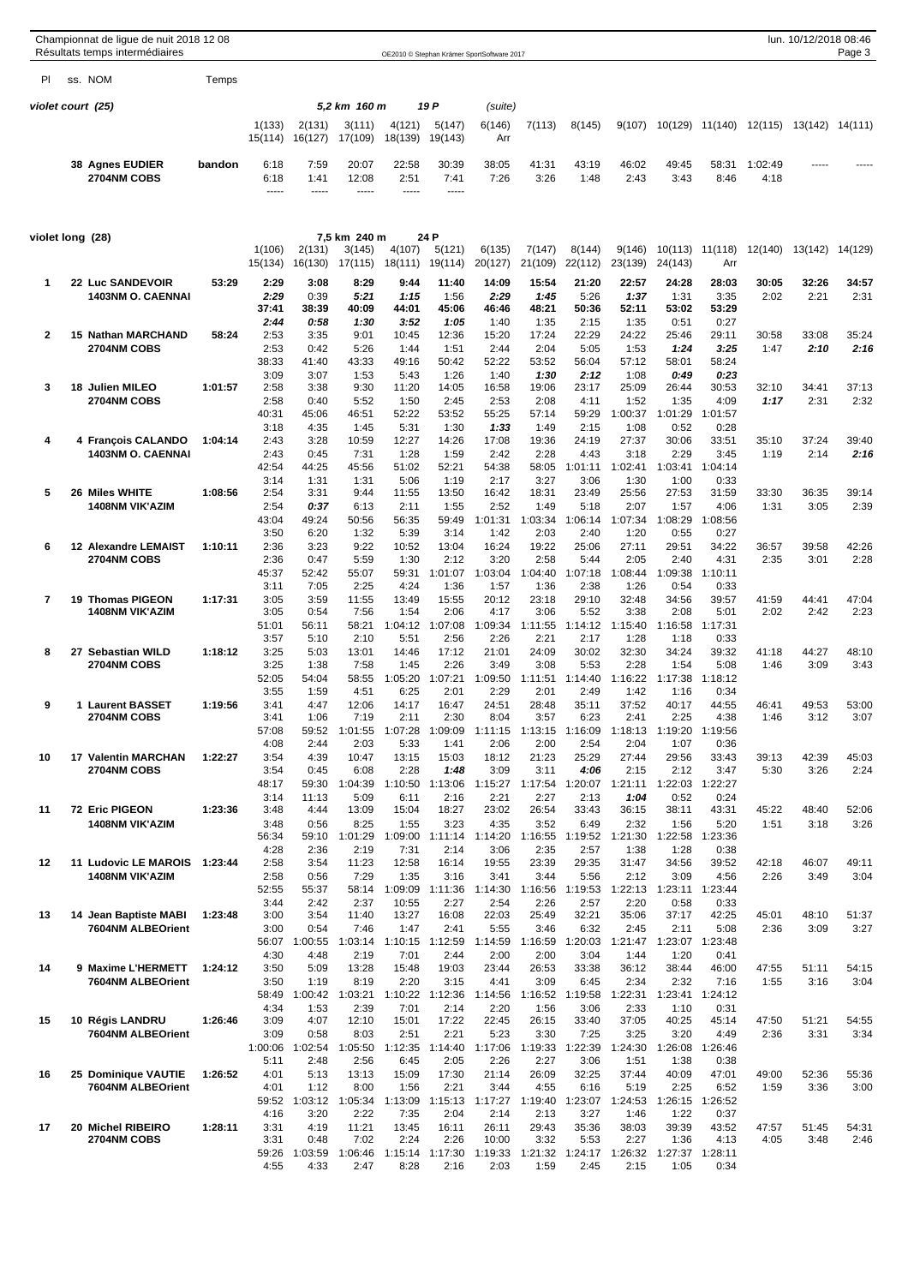|                  | Championnat de ligue de nuit 2018 12 08<br>Résultats temps intermédiaires |         | OE2010 © Stephan Krämer SportSoftware 2017 |                                 |                                  |                                  |                                          |                                   |                                  |                                          |                                  |                                  |                                          |                 | lun. 10/12/2018 08:46<br>Page 3 |               |  |  |
|------------------|---------------------------------------------------------------------------|---------|--------------------------------------------|---------------------------------|----------------------------------|----------------------------------|------------------------------------------|-----------------------------------|----------------------------------|------------------------------------------|----------------------------------|----------------------------------|------------------------------------------|-----------------|---------------------------------|---------------|--|--|
| PI               | ss. NOM                                                                   | Temps   |                                            |                                 |                                  |                                  |                                          |                                   |                                  |                                          |                                  |                                  |                                          |                 |                                 |               |  |  |
|                  | violet court  (25)                                                        |         |                                            |                                 | 5,2 km 160 m                     |                                  | 19 P                                     | (suite)                           |                                  |                                          |                                  |                                  |                                          |                 |                                 |               |  |  |
|                  |                                                                           |         | 1(133)<br>15(114)                          | 2(131)<br>16(127)               | 3(111)<br>17(109)                | 4(121)<br>18(139)                | 5(147)<br>19(143)                        | 6(146)<br>Arr                     | 7(113)                           | 8(145)                                   | 9(107)                           |                                  | 10(129) 11(140)                          | 12(115)         | 13(142) 14(111)                 |               |  |  |
|                  | <b>38 Agnes EUDIER</b><br>2704NM COBS                                     | bandon  | 6:18<br>6:18<br>-----                      | 7:59<br>1:41<br>1.1.1.1         | 20:07<br>12:08<br>-----          | 22:58<br>2:51<br>-----           | 30:39<br>7:41<br>-----                   | 38:05<br>7:26                     | 41:31<br>3:26                    | 43:19<br>1:48                            | 46:02<br>2:43                    | 49:45<br>3:43                    | 58:31<br>8:46                            | 1:02:49<br>4:18 |                                 |               |  |  |
| violet long (28) |                                                                           |         |                                            |                                 | 7,5 km  240 m                    |                                  | 24 P                                     |                                   |                                  |                                          |                                  |                                  |                                          |                 |                                 |               |  |  |
|                  |                                                                           |         | 1(106)<br>15(134)                          | 2(131)<br>16(130)               | 3(145)<br>17(115)                | 4(107)<br>18(111)                | 5(121)<br>19(114)                        | 6(135)<br>20(127)                 | 7(147)<br>21(109)                | 8(144)<br>22(112)                        | 9(146)<br>23(139)                | 10(113)<br>24(143)               | 11(118)<br>Arr                           | 12(140)         | 13(142)                         | 14(129)       |  |  |
| $\mathbf 1$      | 22 Luc SANDEVOIR<br><b>1403NM O. CAENNAI</b>                              | 53:29   | 2:29<br>2:29<br>37:41                      | 3:08<br>0:39<br>38:39           | 8:29<br>5:21<br>40:09            | 9:44<br>1:15<br>44:01            | 11:40<br>1:56<br>45:06                   | 14:09<br>2:29<br>46:46            | 15:54<br>1:45<br>48:21           | 21:20<br>5:26<br>50:36                   | 22:57<br>1:37<br>52:11           | 24:28<br>1:31<br>53:02           | 28:03<br>3:35<br>53:29                   | 30:05<br>2:02   | 32:26<br>2:21                   | 34:57<br>2:31 |  |  |
| 2                | 15 Nathan MARCHAND<br>2704NM COBS                                         | 58:24   | 2:44<br>2:53<br>2:53                       | 0:58<br>3:35<br>0:42            | 1:30<br>9:01<br>5:26             | 3:52<br>10:45<br>1:44            | 1:05<br>12:36<br>1:51                    | 1:40<br>15:20<br>2:44             | 1:35<br>17:24<br>2:04            | 2:15<br>22:29<br>5:05                    | 1:35<br>24:22<br>1:53            | 0:51<br>25:46<br>1:24            | 0:27<br>29:11<br>3:25                    | 30:58<br>1:47   | 33:08<br>2:10                   | 35:24<br>2:16 |  |  |
| 3                | 18 Julien MILEO                                                           | 1:01:57 | 38:33<br>3:09<br>2:58                      | 41:40<br>3:07<br>3:38           | 43:33<br>1:53<br>9:30            | 49:16<br>5:43<br>11:20           | 50:42<br>1:26<br>14:05                   | 52:22<br>1:40<br>16:58            | 53:52<br>1:30<br>19:06           | 56:04<br>2:12<br>23:17                   | 57:12<br>1:08<br>25:09           | 58:01<br>0:49<br>26:44           | 58:24<br>0:23<br>30:53                   | 32:10           | 34:41                           | 37:13         |  |  |
| 4                | <b>2704NM COBS</b><br>4 Francois CALANDO                                  | 1:04:14 | 2:58<br>40:31<br>3:18<br>2:43              | 0:40<br>45:06<br>4:35<br>3:28   | 5:52<br>46:51<br>1:45<br>10:59   | 1:50<br>52:22<br>5:31<br>12:27   | 2:45<br>53:52<br>1:30<br>14:26           | 2:53<br>55:25<br>1:33<br>17:08    | 2:08<br>57:14<br>1:49<br>19:36   | 4:11<br>59:29<br>2:15<br>24:19           | 1:52<br>1:00:37<br>1:08<br>27:37 | 1:35<br>1:01:29<br>0:52<br>30:06 | 4:09<br>1:01:57<br>0:28<br>33:51         | 1:17<br>35:10   | 2:31<br>37:24                   | 2:32<br>39:40 |  |  |
|                  | <b>1403NM O. CAENNAI</b>                                                  |         | 2:43<br>42:54<br>3:14                      | 0:45<br>44:25<br>1:31           | 7:31<br>45:56<br>1:31            | 1:28<br>51:02<br>5:06            | 1:59<br>52:21<br>1:19                    | 2:42<br>54:38<br>2:17             | 2:28<br>58:05<br>3:27            | 4:43<br>1:01:11<br>3:06                  | 3:18<br>1:02:41<br>1:30          | 2:29<br>1:03:41<br>1:00          | 3:45<br>1:04:14<br>0:33                  | 1:19            | 2:14                            | 2:16          |  |  |
| 5                | 26 Miles WHITE<br><b>1408NM VIK'AZIM</b>                                  | 1:08:56 | 2:54<br>2:54<br>43:04                      | 3:31<br>0:37<br>49:24           | 9:44<br>6:13<br>50:56            | 11:55<br>2:11<br>56:35           | 13:50<br>1:55<br>59:49                   | 16:42<br>2:52<br>1:01:31          | 18:31<br>1:49<br>1:03:34         | 23:49<br>5:18<br>1:06:14                 | 25:56<br>2:07<br>1:07:34         | 27:53<br>1:57<br>1:08:29         | 31:59<br>4:06<br>1:08:56                 | 33:30<br>1:31   | 36:35<br>3:05                   | 39:14<br>2:39 |  |  |
| 6                | 12 Alexandre LEMAIST<br><b>2704NM COBS</b>                                | 1:10:11 | 3:50<br>2:36<br>2:36                       | 6:20<br>3:23<br>0:47            | 1:32<br>9:22<br>5:59             | 5:39<br>10:52<br>1:30            | 3:14<br>13:04<br>2:12                    | 1:42<br>16:24<br>3:20             | 2:03<br>19:22<br>2:58            | 2:40<br>25:06<br>5:44                    | 1:20<br>27:11<br>2:05            | 0:55<br>29:51<br>2:40            | 0:27<br>34:22<br>4:31                    | 36:57<br>2:35   | 39:58<br>3:01                   | 42:26<br>2:28 |  |  |
| 7                | 19 Thomas PIGEON<br><b>1408NM VIK'AZIM</b>                                | 1:17:31 | 45:37<br>3:11<br>3:05<br>3:05              | 52:42<br>7:05<br>3:59<br>0:54   | 55:07<br>2:25<br>11:55<br>7:56   | 59:31<br>4:24<br>13:49<br>1:54   | 1:01:07<br>1:36<br>15:55<br>2:06         | 1:03:04<br>1:57<br>20:12<br>4:17  | 1:04:40<br>1:36<br>23:18<br>3:06 | 1:07:18<br>2:38<br>29:10<br>5:52         | 1:08:44<br>1:26<br>32:48<br>3:38 | 1:09:38<br>0:54<br>34:56<br>2:08 | 1:10:11<br>0:33<br>39:57<br>5:01         | 41:59<br>2:02   | 44:41<br>2:42                   | 47:04<br>2:23 |  |  |
| 8                | 27 Sebastian WILD                                                         | 1:18:12 | 51:01<br>3:57<br>3:25                      | 56:11<br>5:10<br>5:03           | 58:21<br>2:10<br>13:01           | 1:04:12<br>5:51<br>14:46         | 1:07:08<br>2:56<br>17:12                 | 1:09:34<br>2:26<br>21:01          | 1:11:55<br>2:21<br>24:09         | 1:14:12<br>2:17<br>30:02                 | 1:15:40<br>1:28<br>32:30         | 1:16:58<br>1:18<br>34:24         | 1:17:31<br>0:33<br>39:32                 | 41:18           | 44:27                           | 48:10         |  |  |
|                  | <b>2704NM COBS</b>                                                        |         | 3:25<br>52:05<br>3:55                      | 1:38<br>54:04<br>1:59           | 7:58<br>58:55<br>4:51            | 1:45<br>1:05:20<br>6:25          | 2:26<br>1:07:21<br>2:01                  | 3:49<br>1:09:50<br>2:29           | 3:08<br>1:11:51<br>2:01          | 5:53<br>1:14:40<br>2:49                  | 2:28<br>1:16:22<br>1:42          | 1:54<br>1:17:38<br>1:16          | 5:08<br>1:18:12<br>0:34                  | 1:46            | 3:09                            | 3:43          |  |  |
| 9                | 1 Laurent BASSET<br><b>2704NM COBS</b>                                    | 1:19:56 | 3:41<br>3:41<br>57:08                      | 4:47<br>1:06<br>59:52           | 12:06<br>7:19<br>1:01:55         | 14:17<br>2:11<br>1:07:28         | 16:47<br>2:30<br>1:09:09                 | 24:51<br>8:04<br>1:11:15          | 28:48<br>3:57<br>1:13:15 1:16:09 | 35:11<br>6:23                            | 37:52<br>2:41<br>1:18:13         | 40:17<br>2:25                    | 44:55<br>4:38<br>1:19:20 1:19:56         | 46:41<br>1:46   | 49:53<br>3:12                   | 53:00<br>3:07 |  |  |
| 10               | <b>17 Valentin MARCHAN</b><br>2704NM COBS                                 | 1:22:27 | 4:08<br>3:54<br>3:54<br>48:17              | 2:44<br>4:39<br>0:45<br>59:30   | 2:03<br>10:47<br>6:08<br>1:04:39 | 5:33<br>13:15<br>2:28<br>1:10:50 | 1:41<br>15:03<br>1:48<br>1:13:06         | 2:06<br>18:12<br>3:09<br>1:15:27  | 2:00<br>21:23<br>3:11<br>1:17:54 | 2:54<br>25:29<br>4:06<br>1:20:07         | 2:04<br>27:44<br>2:15<br>1:21:11 | 1:07<br>29:56<br>2:12<br>1:22:03 | 0:36<br>33:43<br>3:47<br>1:22:27         | 39:13<br>5:30   | 42:39<br>3:26                   | 45:03<br>2:24 |  |  |
| 11               | 72 Eric PIGEON<br><b>1408NM VIK'AZIM</b>                                  | 1:23:36 | 3:14<br>3:48<br>3:48                       | 11:13<br>4:44<br>0:56           | 5:09<br>13:09<br>8:25            | 6:11<br>15:04<br>1:55            | 2:16<br>18:27<br>3:23                    | 2:21<br>23:02<br>4:35             | 2:27<br>26:54<br>3:52            | 2:13<br>33:43<br>6:49                    | 1:04<br>36:15<br>2:32            | 0:52<br>38:11<br>1:56            | 0:24<br>43:31<br>5:20                    | 45:22<br>1:51   | 48:40<br>3:18                   | 52:06<br>3:26 |  |  |
| 12               | <b>11 Ludovic LE MAROIS</b>                                               | 1.23.44 | 56:34<br>4:28<br>2:58                      | 59:10<br>2:36<br>3:54           | 1:01:29<br>2:19<br>11:23         | 1:09:00<br>7:31<br>12:58         | 1:11:14<br>2:14<br>16:14                 | 1:14:20<br>3:06<br>19:55          | 1:16:55<br>2:35<br>23:39         | 1:19:52<br>2:57<br>29:35                 | 1:21:30<br>1:38<br>31:47         | 1:22:58<br>1:28<br>34:56         | 1:23:36<br>0:38<br>39:52                 | 42:18           | 46:07                           | 49:11         |  |  |
|                  | <b>1408NM VIK'AZIM</b>                                                    |         | 2:58<br>52:55<br>3:44                      | 0:56<br>55:37<br>2:42           | 7:29<br>58:14<br>2:37            | 1:35<br>1:09:09<br>10:55         | 3:16<br>1:11:36<br>2:27                  | 3:41<br>1:14:30<br>2:54           | 3:44<br>1:16:56<br>2:26          | 5:56<br>1:19:53<br>2:57                  | 2:12<br>1:22:13<br>2:20          | 3:09<br>1:23:11<br>0:58          | 4:56<br>1:23:44<br>0:33                  | 2:26            | 3:49                            | 3:04          |  |  |
| 13               | 14 Jean Baptiste MABI<br>7604NM ALBEOrient                                | 1:23:48 | 3:00<br>3:00<br>56:07<br>4:30              | 3:54<br>0:54<br>1:00:55<br>4:48 | 11:40<br>7:46<br>1:03:14<br>2:19 | 13:27<br>1:47<br>7:01            | 16:08<br>2:41<br>1:10:15 1:12:59<br>2:44 | 22:03<br>5:55<br>1:14:59<br>2:00  | 25:49<br>3:46<br>1:16:59<br>2:00 | 32:21<br>6:32<br>1:20:03<br>3:04         | 35:06<br>2:45<br>1:21:47<br>1:44 | 37:17<br>2:11<br>1:20            | 42:25<br>5:08<br>1:23:07 1:23:48<br>0:41 | 45:01<br>2:36   | 48:10<br>3:09                   | 51:37<br>3:27 |  |  |
| 14               | 9 Maxime L'HERMETT<br>7604NM ALBEOrient                                   | 1:24:12 | 3:50<br>3:50<br>58:49                      | 5:09<br>1:19<br>1:00:42         | 13:28<br>8:19<br>1:03:21         | 15:48<br>2:20<br>1:10:22         | 19:03<br>3:15<br>1:12:36                 | 23:44<br>4:41<br>1:14:56          | 26:53<br>3:09<br>1:16:52         | 33:38<br>6:45<br>1:19:58                 | 36:12<br>2:34<br>1:22:31         | 38:44<br>2:32<br>1:23:41         | 46:00<br>7:16<br>1:24:12                 | 47:55<br>1:55   | 51:11<br>3:16                   | 54:15<br>3:04 |  |  |
| 15               | 10 Régis LANDRU<br>7604NM ALBEOrient                                      | 1:26:46 | 4:34<br>3:09<br>3:09                       | 1:53<br>4:07<br>0:58            | 2:39<br>12:10<br>8:03            | 7:01<br>15:01<br>2:51            | 2:14<br>17:22<br>2:21                    | 2:20<br>22:45<br>5:23             | 1:56<br>26:15<br>3:30            | 3:06<br>33:40<br>7:25                    | 2:33<br>37:05<br>3:25            | 1:10<br>40:25<br>3:20            | 0:31<br>45:14<br>4:49                    | 47:50<br>2:36   | 51:21<br>3:31                   | 54:55<br>3:34 |  |  |
| 16               | 25 Dominique VAUTIE                                                       | 1:26:52 | 1:00:06<br>5:11<br>4:01                    | 1:02:54<br>2:48<br>5:13         | 1:05:50<br>2:56<br>13:13         | 1:12:35<br>6:45<br>15:09         | 1:14:40<br>2:05<br>17:30                 | 1:17:06<br>2:26<br>21:14          | 1:19:33<br>2:27<br>26:09         | 1:22:39<br>3:06<br>32:25                 | 1:24:30<br>1:51<br>37:44         | 1:26:08<br>1:38<br>40:09         | 1:26:46<br>0:38<br>47:01                 | 49:00           | 52:36                           | 55:36         |  |  |
|                  | 7604NM ALBEOrient                                                         |         | 4:01<br>59:52<br>4:16                      | 1:12<br>1:03:12<br>3:20         | 8:00<br>1:05:34<br>2:22          | 1:56<br>1:13:09<br>7:35          | 2:21<br>1:15:13<br>2:04                  | 3:44<br>1:17:27<br>2:14           | 4:55<br>1:19:40<br>2:13          | 6:16<br>1:23:07<br>3:27                  | 5:19<br>1:24:53<br>1:46          | 2:25<br>1:26:15<br>1:22          | 6:52<br>1:26:52<br>0:37                  | 1:59            | 3:36                            | 3:00          |  |  |
| 17               | 20 Michel RIBEIRO<br><b>2704NM COBS</b>                                   | 1:28:11 | 3:31<br>3:31<br>59:26<br>4:55              | 4:19<br>0:48<br>1:03:59<br>4:33 | 11:21<br>7:02<br>1:06:46<br>2:47 | 13:45<br>2:24<br>8:28            | 16:11<br>2:26<br>1:15:14 1:17:30<br>2:16 | 26:11<br>10:00<br>1:19:33<br>2:03 | 29:43<br>3:32<br>1:59            | 35:36<br>5:53<br>1:21:32 1:24:17<br>2:45 | 38:03<br>2:27<br>1:26:32<br>2:15 | 39:39<br>1:36<br>1:05            | 43:52<br>4:13<br>1:27:37 1:28:11<br>0:34 | 47:57<br>4:05   | 51:45<br>3:48                   | 54:31<br>2:46 |  |  |